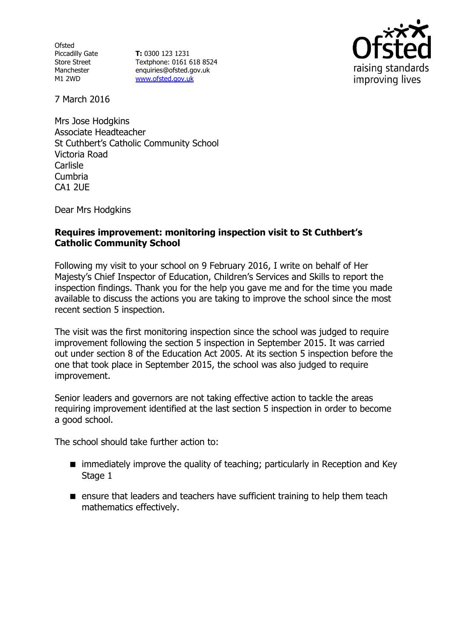**Ofsted** Piccadilly Gate Store Street Manchester M1 2WD

**T:** 0300 123 1231 Textphone: 0161 618 8524 enquiries@ofsted.gov.uk www.ofsted.gov.uk



7 March 2016

Mrs Jose Hodgkins Associate Headteacher St Cuthbert's Catholic Community School Victoria Road Carlisle Cumbria CA1 2UE

Dear Mrs Hodgkins

# **Requires improvement: monitoring inspection visit to St Cuthbert's Catholic Community School**

Following my visit to your school on 9 February 2016, I write on behalf of Her Majesty's Chief Inspector of Education, Children's Services and Skills to report the inspection findings. Thank you for the help you gave me and for the time you made available to discuss the actions you are taking to improve the school since the most recent section 5 inspection.

The visit was the first monitoring inspection since the school was judged to require improvement following the section 5 inspection in September 2015. It was carried out under section 8 of the Education Act 2005. At its section 5 inspection before the one that took place in September 2015, the school was also judged to require improvement.

Senior leaders and governors are not taking effective action to tackle the areas requiring improvement identified at the last section 5 inspection in order to become a good school.

The school should take further action to:

- immediately improve the quality of teaching; particularly in Reception and Key Stage 1
- **E** ensure that leaders and teachers have sufficient training to help them teach mathematics effectively.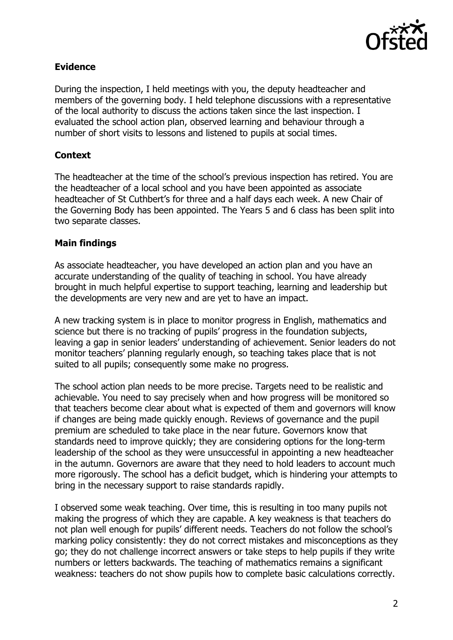

# **Evidence**

During the inspection, I held meetings with you, the deputy headteacher and members of the governing body. I held telephone discussions with a representative of the local authority to discuss the actions taken since the last inspection. I evaluated the school action plan, observed learning and behaviour through a number of short visits to lessons and listened to pupils at social times.

# **Context**

The headteacher at the time of the school's previous inspection has retired. You are the headteacher of a local school and you have been appointed as associate headteacher of St Cuthbert's for three and a half days each week. A new Chair of the Governing Body has been appointed. The Years 5 and 6 class has been split into two separate classes.

#### **Main findings**

As associate headteacher, you have developed an action plan and you have an accurate understanding of the quality of teaching in school. You have already brought in much helpful expertise to support teaching, learning and leadership but the developments are very new and are yet to have an impact.

A new tracking system is in place to monitor progress in English, mathematics and science but there is no tracking of pupils' progress in the foundation subjects, leaving a gap in senior leaders' understanding of achievement. Senior leaders do not monitor teachers' planning regularly enough, so teaching takes place that is not suited to all pupils; consequently some make no progress.

The school action plan needs to be more precise. Targets need to be realistic and achievable. You need to say precisely when and how progress will be monitored so that teachers become clear about what is expected of them and governors will know if changes are being made quickly enough. Reviews of governance and the pupil premium are scheduled to take place in the near future. Governors know that standards need to improve quickly; they are considering options for the long-term leadership of the school as they were unsuccessful in appointing a new headteacher in the autumn. Governors are aware that they need to hold leaders to account much more rigorously. The school has a deficit budget, which is hindering your attempts to bring in the necessary support to raise standards rapidly.

I observed some weak teaching. Over time, this is resulting in too many pupils not making the progress of which they are capable. A key weakness is that teachers do not plan well enough for pupils' different needs. Teachers do not follow the school's marking policy consistently: they do not correct mistakes and misconceptions as they go; they do not challenge incorrect answers or take steps to help pupils if they write numbers or letters backwards. The teaching of mathematics remains a significant weakness: teachers do not show pupils how to complete basic calculations correctly.